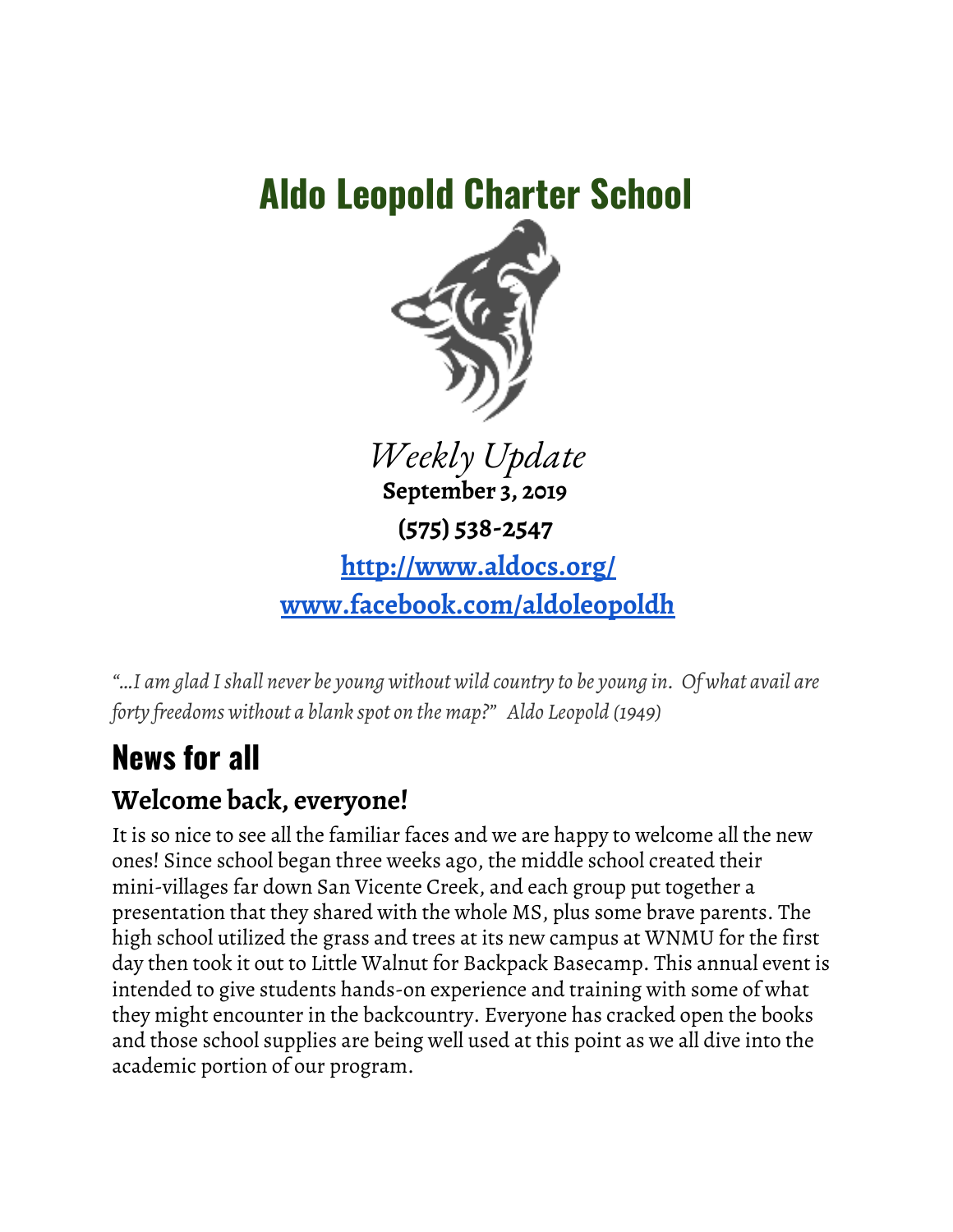# **Aldo Leopold Charter School**



*Weekly Update* **September 3, 2019 (575) 538-2547 <http://www.aldocs.org/> [www.facebook.com/aldoleopoldh](http://www.facebook.com/aldoleopoldhs)**

*"…I am glad Ishall never be young without wild country to be young in. Of what avail are forty freedoms without a blank spot on the map?" Aldo Leopold (1949)*

# **News for all**

## **Welcome back, everyone!**

It is so nice to see all the familiar faces and we are happy to welcome all the new ones! Since school began three weeks ago, the middle school created their mini-villages far down San Vicente Creek, and each group put together a presentation that they shared with the whole MS, plus some brave parents. The high school utilized the grass and trees at its new campus at WNMU for the first day then took it out to Little Walnut for Backpack Basecamp. This annual event is intended to give students hands-on experience and training with some of what they might encounter in the backcountry. Everyone has cracked open the books and those school supplies are being well used at this point as we all dive into the academic portion of our program.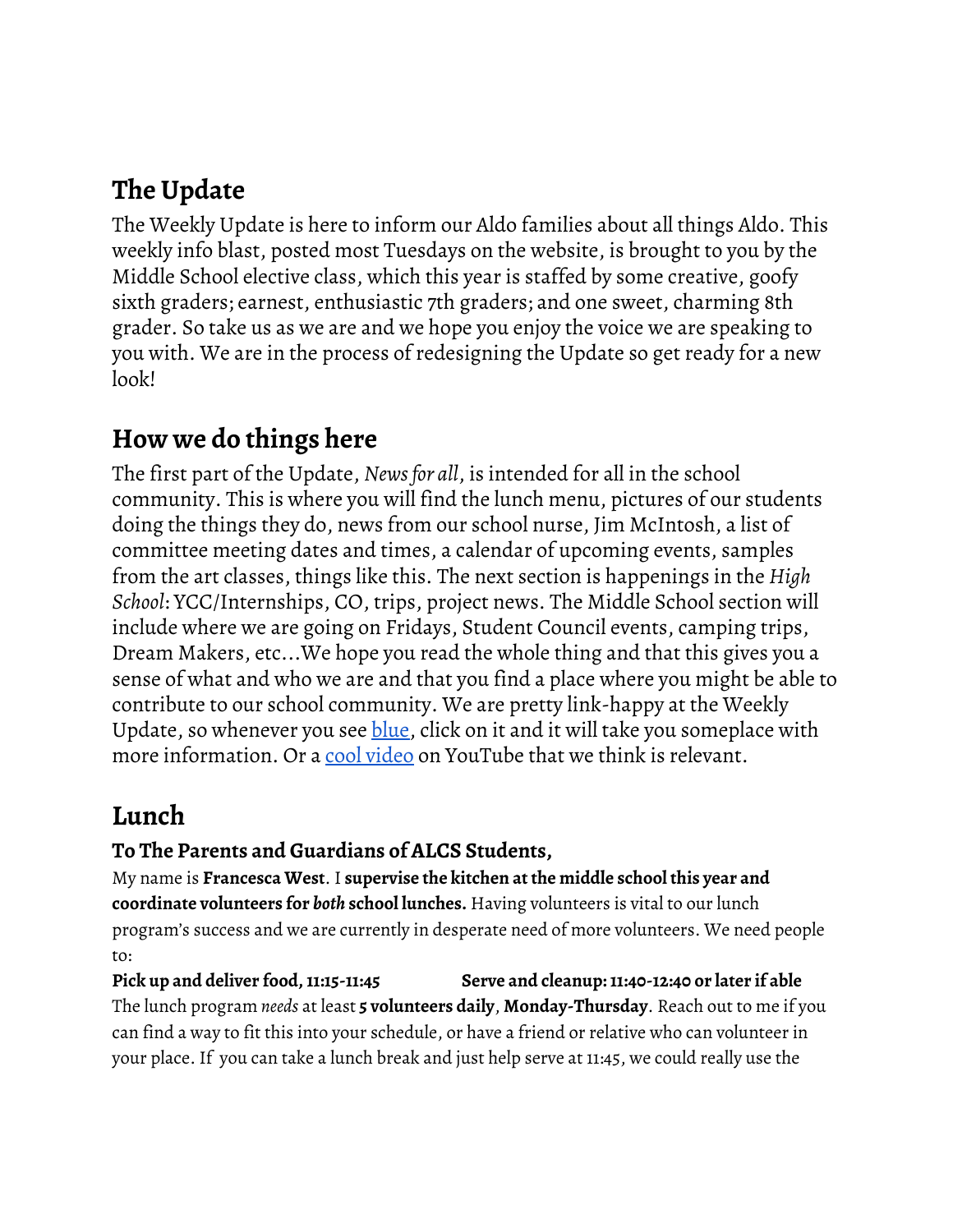# **The Update**

The Weekly Update is here to inform our Aldo families about all things Aldo. This weekly info blast, posted most Tuesdays on the website, is brought to you by the Middle School elective class, which this year is staffed by some creative, goofy sixth graders; earnest, enthusiastic 7th graders; and one sweet, charming 8th grader. So take us as we are and we hope you enjoy the voice we are speaking to you with. We are in the process of redesigning the Update so get ready for a new look!

#### **How we do things here**

The first part of the Update, *Newsfor all*, is intended for all in the school community. This is where you will find the lunch menu, pictures of our students doing the things they do, news from our school nurse, Jim McIntosh, a list of committee meeting dates and times, a calendar of upcoming events, samples from the art classes, things like this. The next section is happenings in the *High School*: YCC/Internships, CO, trips, project news. The Middle School section will include where we are going on Fridays, Student Council events, camping trips, Dream Makers, etc...We hope you read the whole thing and that this gives you a sense of what and who we are and that you find a place where you might be able to contribute to our school community. We are pretty link-happy at the Weekly Update, so whenever you see [blue](https://www.aldocs.org/weekly-updates--school-news.html), click on it and it will take you someplace with more information. Or a cool [video](https://www.youtube.com/watch?v=TOzrSk6iWNs) on YouTube that we think is relevant.

#### **Lunch**

#### **To The Parents and Guardians of ALCS Students,**

My name is **Francesca West**. I **supervise the kitchen at the middle school this year and coordinate volunteers for** *both* **school lunches.** Having volunteers is vital to our lunch program's success and we are currently in desperate need of more volunteers. We need people to:

**Pick up and deliver food,11:15-11:45 Serve and cleanup:11:40-12:40 or later if able** The lunch program *needs* at least **5 volunteers daily**, **Monday-Thursday**. Reach out to me if you can find a way to fit this into your schedule, or have a friend or relative who can volunteer in your place. If you can take a lunch break and just help serve at 11:45, we could really use the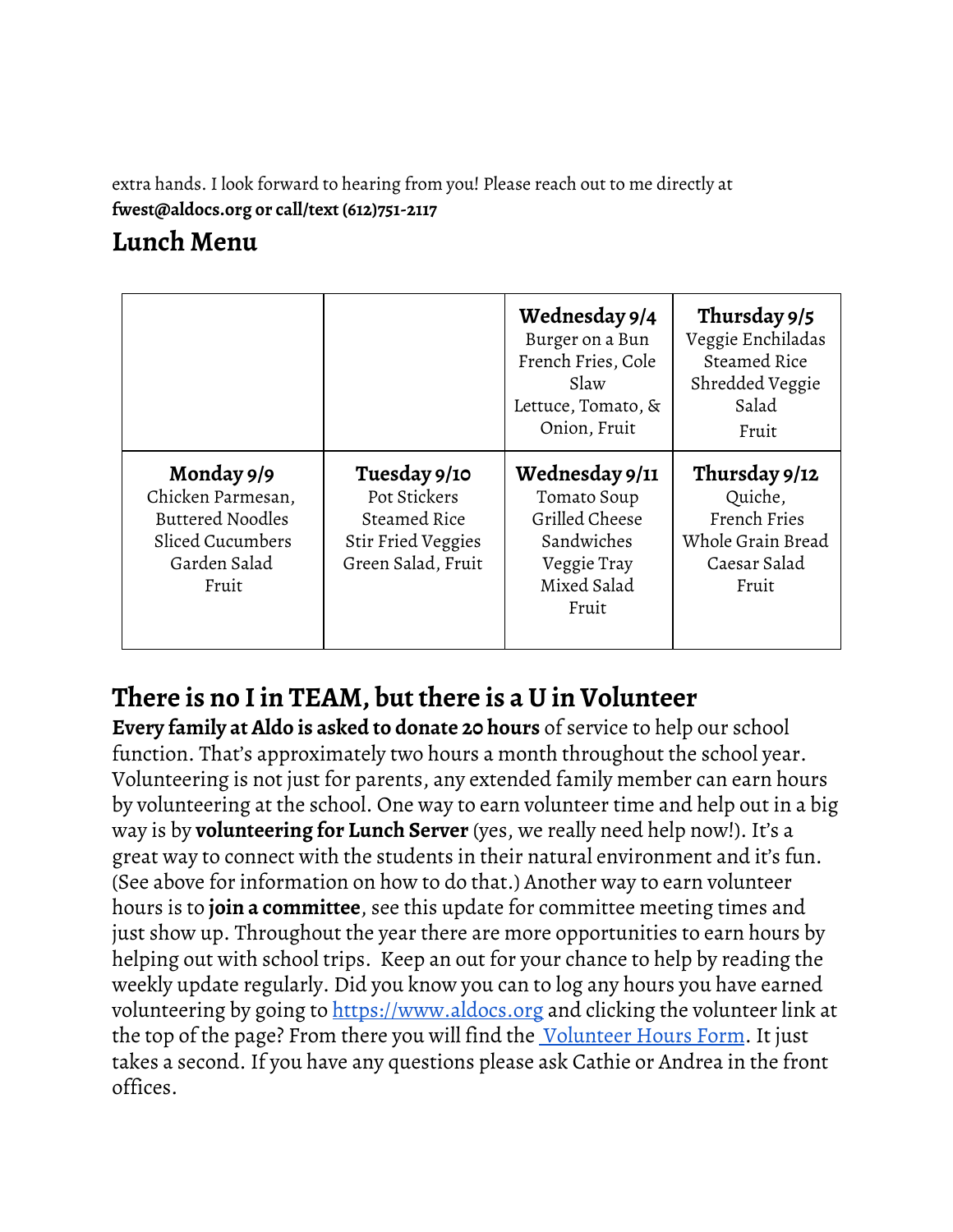extra hands. I look forward to hearing from you! Please reach out to me directly at **fwest@aldocs.org or call/text (612)751-2117**

#### **Lunch Menu**

|                                                                                                         |                                                                                                 | Wednesday 9/4<br>Burger on a Bun<br>French Fries, Cole<br>Slaw<br>Lettuce, Tomato, &<br>Onion, Fruit | Thursday 9/5<br>Veggie Enchiladas<br>Steamed Rice<br>Shredded Veggie<br>Salad<br>Fruit |
|---------------------------------------------------------------------------------------------------------|-------------------------------------------------------------------------------------------------|------------------------------------------------------------------------------------------------------|----------------------------------------------------------------------------------------|
| Monday 9/9<br>Chicken Parmesan,<br><b>Buttered Noodles</b><br>Sliced Cucumbers<br>Garden Salad<br>Fruit | Tuesday 9/10<br>Pot Stickers<br>Steamed Rice<br><b>Stir Fried Veggies</b><br>Green Salad, Fruit | Wednesday 9/11<br>Tomato Soup<br>Grilled Cheese<br>Sandwiches<br>Veggie Tray<br>Mixed Salad<br>Fruit | Thursday 9/12<br>Quiche,<br>French Fries<br>Whole Grain Bread<br>Caesar Salad<br>Fruit |

## **There is no Iin TEAM, but there is a U in Volunteer**

**Every family at Aldo is asked to donate 20 hours** of service to help our school function. That's approximately two hours a month throughout the school year. Volunteering is not just for parents, any extended family member can earn hours by volunteering at the school. One way to earn volunteer time and help out in a big way is by **volunteering for Lunch Server** (yes, we really need help now!). It's a great way to connect with the students in their natural environment and it's fun. (See above for information on how to do that.) Another way to earn volunteer hours is to **join a committee**, see this update for committee meeting times and just show up. Throughout the year there are more opportunities to earn hours by helping out with school trips. Keep an out for your chance to help by reading the weekly update regularly. Did you know you can to log any hours you have earned volunteering by going to [https://www.aldocs.org](https://www.aldocs.org/volunteering.html) and clicking the volunteer link at the top of the page? From there you will find the *[Volunteer](https://docs.google.com/forms/d/e/1FAIpQLSckISyev_xH8RnXGtwqaGEEfcrDL7BJAlsqttK-QqzBdTIf4w/viewform) Hours Form*. It just takes a second. If you have any questions please ask Cathie or Andrea in the front offices.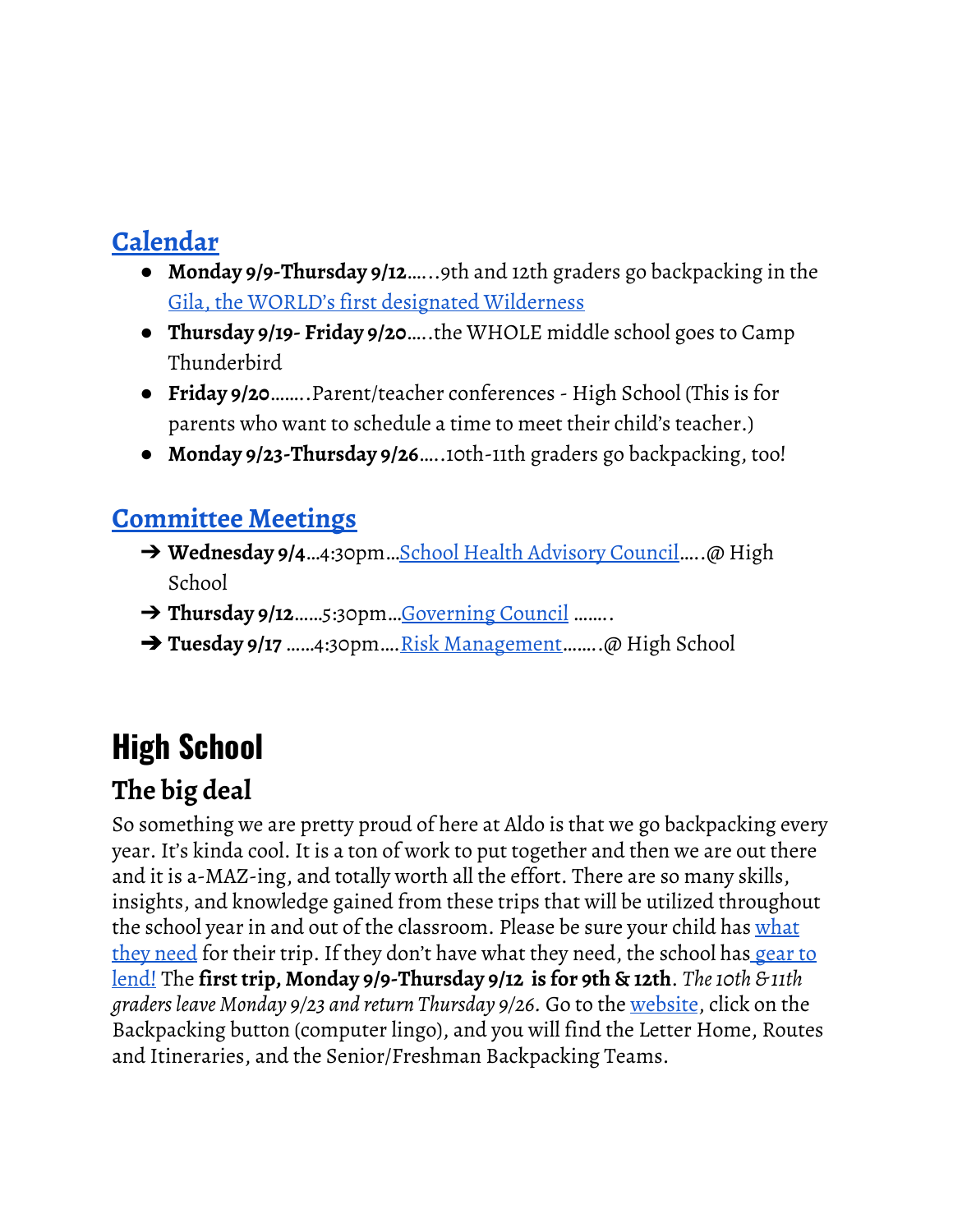## **[Calendar](https://www.aldocs.org/calendar.html)**

- **Monday 9/9-Thursday 9/12**…...9th and 12th graders go backpacking in the Gila, the WORLD's first designated [Wilderness](https://www.fs.usda.gov/detail/gila/learning/history-culture/?cid=stelprdb5038907)
- **Thursday 9/19- Friday 9/20**…..the WHOLE middle school goes to Camp Thunderbird
- **Friday 9/20**……..Parent/teacher conferences High School (This is for parents who want to schedule a time to meet their child's teacher.)
- **Monday 9/23-Thursday 9/26**…..10th-11th graders go backpacking, too!

#### **[Committee](https://www.aldocs.org/committees.html) Meetings**

- → Wednesday 9/4...4:30pm...School Health [Advisory](https://www.aldocs.org/school-health-advisory-council.html) Council.....@ High School
- ➔ **Thursday 9/12**……5:30pm…[Governing](https://www.aldocs.org/about-the-alcs-governing-council.html) Council ……..
- **→ Tuesday 9/17** ……4:30pm….Risk [Management…](https://www.aldocs.org/risk-management.html)….@ High School

# **High School**

# **The big deal**

So something we are pretty proud of here at Aldo is that we go backpacking every year. It's kinda cool. It is a ton of work to put together and then we are out there and it is a-MAZ-ing, and totally worth all the effort. There are so many skills, insights, and knowledge gained from these trips that will be utilized throughout the school year in and out of the classroom. Please be sure your child has [what](https://www.aldocs.org/uploads/1/1/5/7/115705285/2019_back-pack_letter_home.pdf) they [need](https://www.aldocs.org/uploads/1/1/5/7/115705285/2019_back-pack_letter_home.pdf) for their trip. If they don't have what they need, the school has <u>[gear](https://www.aldocs.org/high-school-backpacking-trips.html) to</u> [lend!](https://www.aldocs.org/high-school-backpacking-trips.html) The **first trip, Monday 9/9-Thursday 9/12 is for 9th & 12th**. *The10th & 11th gradersleave Monday 9/23 and return Thursday 9/26.* Go to the [website](https://www.aldocs.org/), click on the Backpacking button (computer lingo), and you will find the Letter Home, Routes and Itineraries, and the Senior/Freshman Backpacking Teams.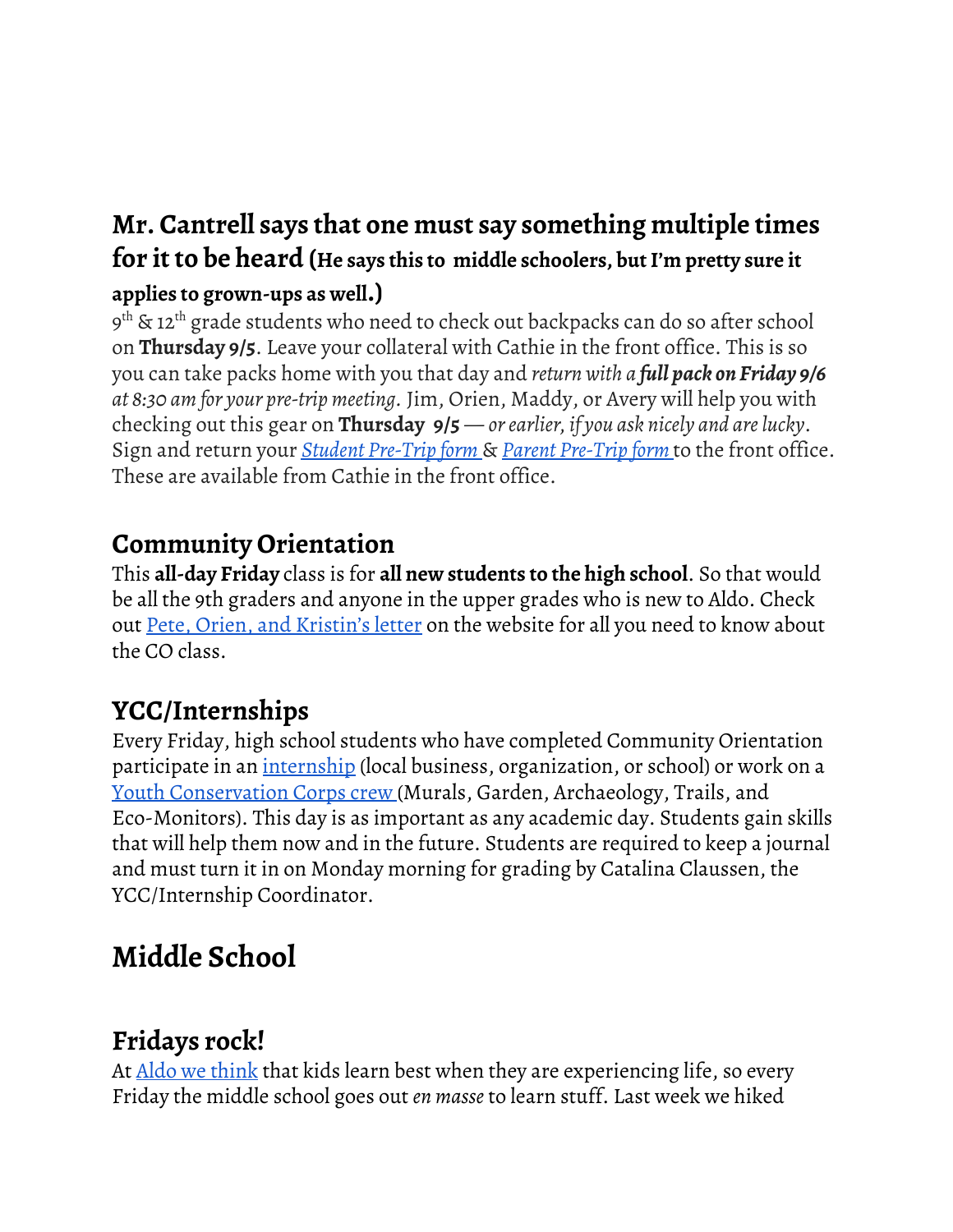### **Mr. Cantrell says that one must say something multiple times for it to be heard (He says this to middle schoolers, butI'm pretty sure it applies to grown-ups as well.)**

9<sup>th</sup> & 12<sup>th</sup> grade students who need to check out backpacks can do so after school on **Thursday 9/5**. Leave your collateral with Cathie in the front office. This is so you can take packs home with you that day and *return with a full pack on Friday 9/6 at 8:30 am for your pre-trip meeting.* Jim, Orien, Maddy, or Avery will help you with checking out this gear on **Thursday 9/5** [—](http://www.aldocs.org/uploads/1/1/5/7/115705285/backpack_risk_management_guidlines_final.pdf#page=29) *orearlier, if you ask nicely and arelucky*. Sign and return your *Student [Pre-Trip](http://www.aldocs.org/uploads/1/1/5/7/115705285/backpack_risk_management_guidlines_final.pdf#page=29) form* & *Parent [Pre-Trip](http://www.aldocs.org/uploads/1/1/5/7/115705285/backpack_risk_management_guidlines_final.pdf#page=28) form* to the front office. These are available from Cathie in the front office.

## **Community Orientation**

This **all-day Friday** class is for **all new students to the high school**. So that would be all the 9th graders and anyone in the upper grades who is new to Aldo. Check out Pete, Orien, and [Kristin's](https://www.aldocs.org/uploads/1/1/5/7/115705285/findingyourwayco.pdf) letter on the website for all you need to know about the CO class.

# **YCC/Internships**

Every Friday, high school students who have completed Community Orientation participate in an *[internship](https://www.aldocs.org/internships.html)* (local business, organization, or school) or work on a Youth [Conservation](https://www.aldocs.org/uploads/1/1/5/7/115705285/summary_of_ycc_worksites.pdf) Corps crew (Murals, Garden, Archaeology, Trails, and Eco-Monitors). This day is as important as any academic day. Students gain skills that will help them now and in the future. Students are required to keep a journal and must turn it in on Monday morning for grading by Catalina Claussen, the YCC/Internship Coordinator.

# **Middle School**

# **Fridays rock!**

At Aldo we [think](https://www.aldocs.org/alcs-overview.html) that kids learn best when they are experiencing life, so every Friday the middle school goes out *en masse* to learn stuff. Last week we hiked